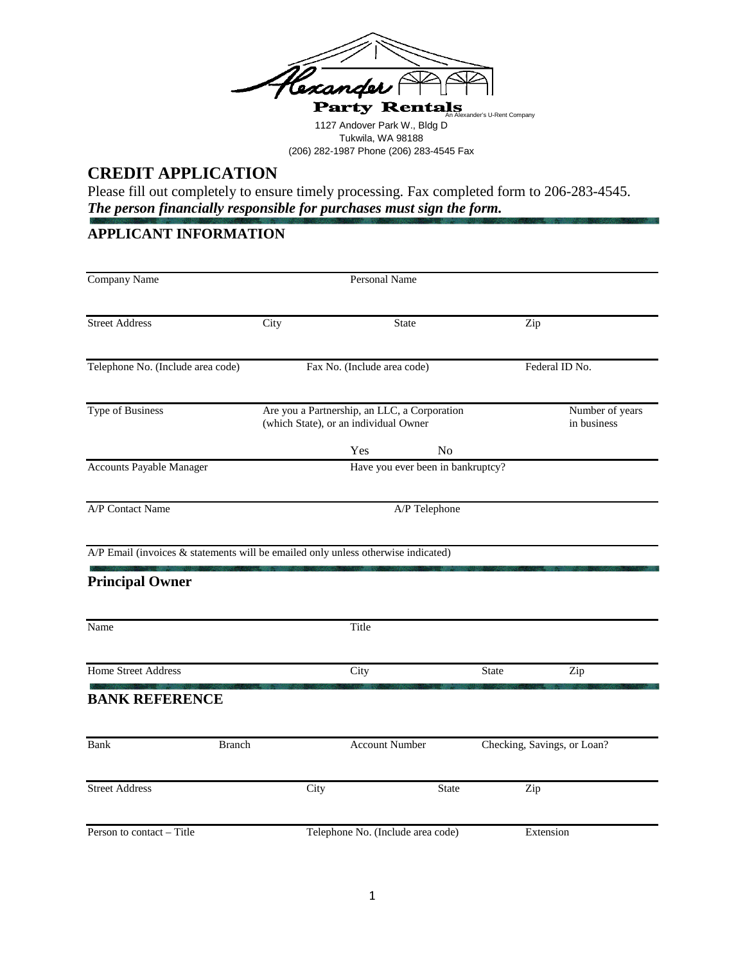

1127 Andover Park W., Bldg D Tukwila, WA 98188 (206) 282-1987 Phone (206) 283-4545 Fax

# **CREDIT APPLICATION**

Please fill out completely to ensure timely processing. Fax completed form to 206-283-4545. *The person financially responsible for purchases must sign the form.*

# **APPLICANT INFORMATION**

| <b>Company Name</b>                                                                                         | <b>Personal Name</b> |                                                                                       |                |                             |                                |  |
|-------------------------------------------------------------------------------------------------------------|----------------------|---------------------------------------------------------------------------------------|----------------|-----------------------------|--------------------------------|--|
| <b>Street Address</b>                                                                                       | City                 | <b>State</b>                                                                          |                | Zip                         |                                |  |
| Telephone No. (Include area code)                                                                           |                      | Fax No. (Include area code)                                                           |                | Federal ID No.              |                                |  |
| <b>Type of Business</b>                                                                                     |                      | Are you a Partnership, an LLC, a Corporation<br>(which State), or an individual Owner |                |                             | Number of years<br>in business |  |
|                                                                                                             |                      | Yes                                                                                   | N <sub>o</sub> |                             |                                |  |
| Accounts Payable Manager                                                                                    |                      | Have you ever been in bankruptcy?                                                     |                |                             |                                |  |
| A/P Contact Name                                                                                            |                      | A/P Telephone                                                                         |                |                             |                                |  |
| A/P Email (invoices & statements will be emailed only unless otherwise indicated)<br><b>Principal Owner</b> |                      |                                                                                       |                |                             |                                |  |
| Name                                                                                                        |                      | Title                                                                                 |                |                             |                                |  |
| <b>Home Street Address</b>                                                                                  |                      | City                                                                                  |                | <b>State</b>                | Zip                            |  |
| <b>BANK REFERENCE</b>                                                                                       |                      |                                                                                       |                |                             |                                |  |
| Bank<br><b>Branch</b>                                                                                       |                      | <b>Account Number</b>                                                                 |                | Checking, Savings, or Loan? |                                |  |
| <b>Street Address</b>                                                                                       | City                 |                                                                                       | <b>State</b>   | Zip                         |                                |  |
| Person to contact - Title                                                                                   |                      | Telephone No. (Include area code)                                                     |                | Extension                   |                                |  |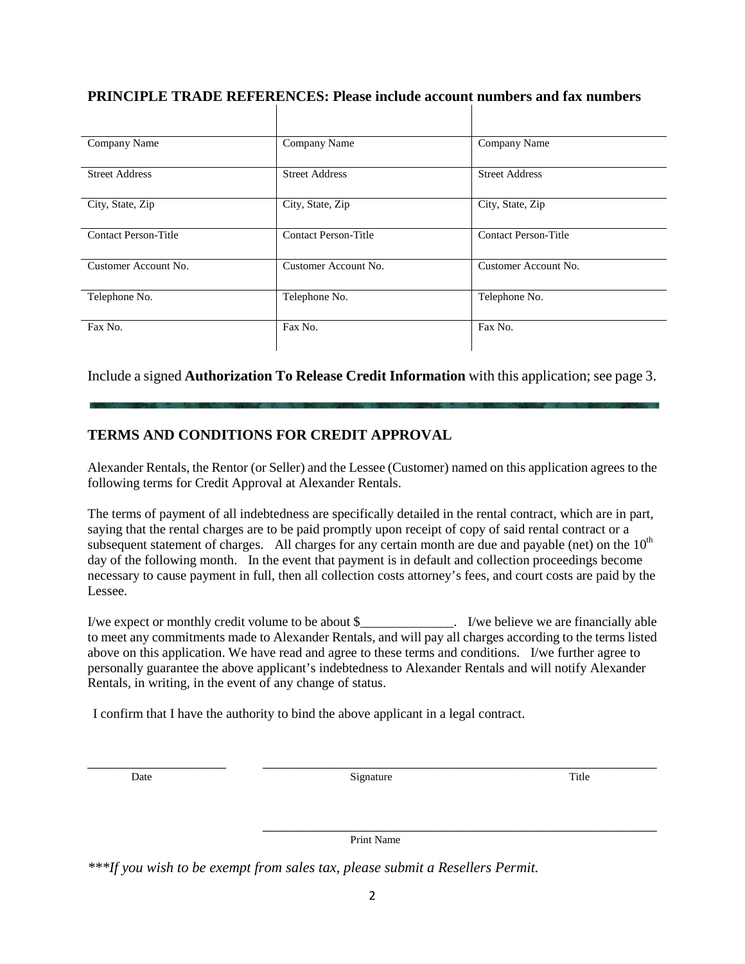| Company Name                | Company Name                                   | Company Name                |
|-----------------------------|------------------------------------------------|-----------------------------|
| <b>Street Address</b>       | <b>Street Address</b><br><b>Street Address</b> |                             |
| City, State, Zip            | City, State, Zip                               | City, State, Zip            |
| <b>Contact Person-Title</b> | <b>Contact Person-Title</b>                    | <b>Contact Person-Title</b> |
| Customer Account No.        | Customer Account No.                           | Customer Account No.        |
| Telephone No.               | Telephone No.                                  | Telephone No.               |
| Fax No.                     | Fax No.                                        | Fax No.                     |

#### **PRINCIPLE TRADE REFERENCES: Please include account numbers and fax numbers**

Include a signed **Authorization To Release Credit Information** with this application; see page 3.

### **TERMS AND CONDITIONS FOR CREDIT APPROVAL**

Alexander Rentals, the Rentor (or Seller) and the Lessee (Customer) named on this application agrees to the following terms for Credit Approval at Alexander Rentals.

The terms of payment of all indebtedness are specifically detailed in the rental contract, which are in part, saying that the rental charges are to be paid promptly upon receipt of copy of said rental contract or a subsequent statement of charges. All charges for any certain month are due and payable (net) on the  $10<sup>th</sup>$ day of the following month. In the event that payment is in default and collection proceedings become necessary to cause payment in full, then all collection costs attorney's fees, and court costs are paid by the Lessee.

I/we expect or monthly credit volume to be about \$\_\_\_\_\_\_\_\_\_\_\_\_\_\_. I/we believe we are financially able to meet any commitments made to Alexander Rentals, and will pay all charges according to the terms listed above on this application. We have read and agree to these terms and conditions. I/we further agree to personally guarantee the above applicant's indebtedness to Alexander Rentals and will notify Alexander Rentals, in writing, in the event of any change of status.

I confirm that I have the authority to bind the above applicant in a legal contract.

Date and the Signature Signature Signature and the Signature of the Signature of the Signature of the Signature

\_\_\_\_\_\_\_\_\_\_\_\_\_\_\_\_\_\_\_ \_\_\_\_\_\_\_\_\_\_\_\_\_\_\_\_\_\_\_\_\_\_\_\_\_\_\_\_\_\_\_\_\_\_\_\_\_\_\_\_\_\_\_\_\_\_\_\_\_\_\_\_\_\_

\_\_\_\_\_\_\_\_\_\_\_\_\_\_\_\_\_\_\_\_\_\_\_\_\_\_\_\_\_\_\_\_\_\_\_\_\_\_\_\_\_\_\_\_\_\_\_\_\_\_\_\_\_\_ Print Name

*\*\*\*If you wish to be exempt from sales tax, please submit a Resellers Permit.*